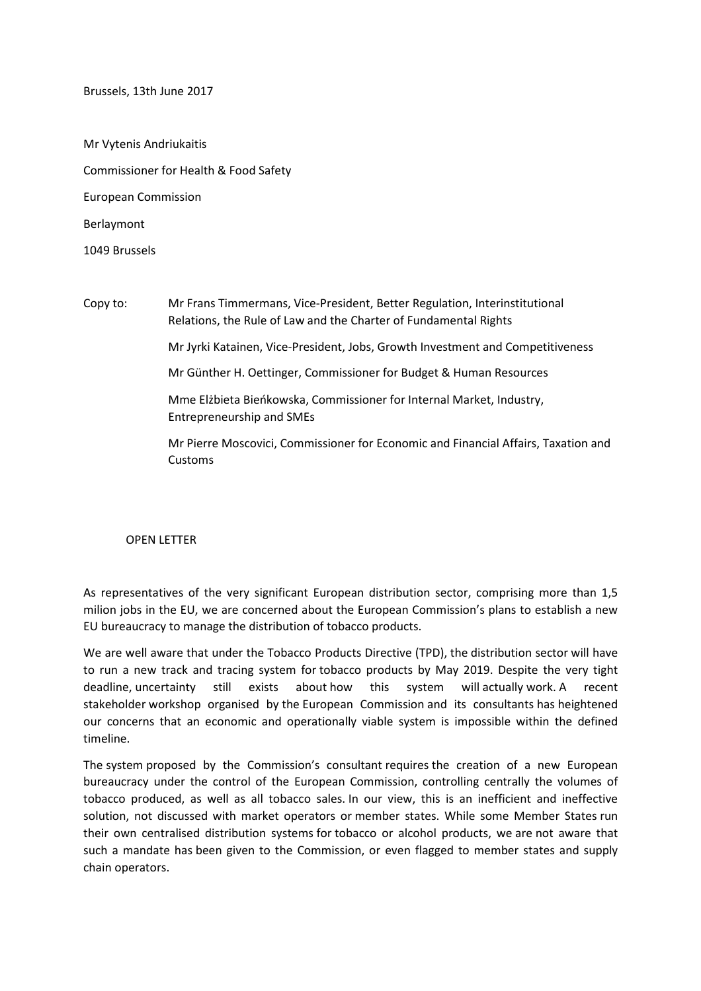Brussels, 13th June 2017

Mr Vytenis Andriukaitis Commissioner for Health & Food Safety European Commission Berlaymont

1049 Brussels

Copy to: Mr Frans Timmermans, Vice-President, Better Regulation, Interinstitutional Relations, the Rule of Law and the Charter of Fundamental Rights Mr Jyrki Katainen, Vice-President, Jobs, Growth Investment and Competitiveness Mr Günther H. Oettinger, Commissioner for Budget & Human Resources Mme Elżbieta Bieńkowska, Commissioner for Internal Market, Industry, Entrepreneurship and SMEs Mr Pierre Moscovici, Commissioner for Economic and Financial Affairs, Taxation and Customs

OPEN LETTER

As representatives of the very significant European distribution sector, comprising more than 1,5 milion jobs in the EU, we are concerned about the European Commission's plans to establish a new EU bureaucracy to manage the distribution of tobacco products.

We are well aware that under the Tobacco Products Directive (TPD), the distribution sector will have to run a new track and tracing system for tobacco products by May 2019. Despite the very tight deadline, uncertainty still exists about how this system will actually work. A recent stakeholder workshop organised by the European Commission and its consultants has heightened our concerns that an economic and operationally viable system is impossible within the defined timeline.

The system proposed by the Commission's consultant requires the creation of a new European bureaucracy under the control of the European Commission, controlling centrally the volumes of tobacco produced, as well as all tobacco sales. In our view, this is an inefficient and ineffective solution, not discussed with market operators or member states. While some Member States run their own centralised distribution systems for tobacco or alcohol products, we are not aware that such a mandate has been given to the Commission, or even flagged to member states and supply chain operators.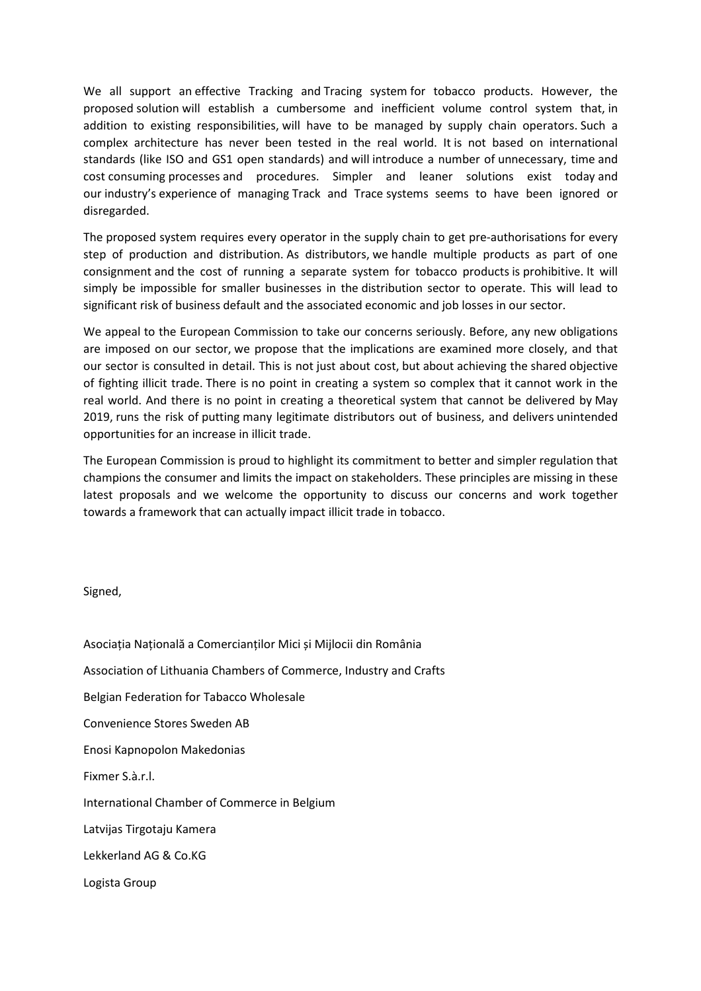We all support an effective Tracking and Tracing system for tobacco products. However, the proposed solution will establish a cumbersome and inefficient volume control system that, in addition to existing responsibilities, will have to be managed by supply chain operators. Such a complex architecture has never been tested in the real world. It is not based on international standards (like ISO and GS1 open standards) and will introduce a number of unnecessary, time and cost consuming processes and procedures. Simpler and leaner solutions exist today and our industry's experience of managing Track and Trace systems seems to have been ignored or disregarded.

The proposed system requires every operator in the supply chain to get pre-authorisations for every step of production and distribution. As distributors, we handle multiple products as part of one consignment and the cost of running a separate system for tobacco products is prohibitive. It will simply be impossible for smaller businesses in the distribution sector to operate. This will lead to significant risk of business default and the associated economic and job losses in our sector.

We appeal to the European Commission to take our concerns seriously. Before, any new obligations are imposed on our sector, we propose that the implications are examined more closely, and that our sector is consulted in detail. This is not just about cost, but about achieving the shared objective of fighting illicit trade. There is no point in creating a system so complex that it cannot work in the real world. And there is no point in creating a theoretical system that cannot be delivered by May 2019, runs the risk of putting many legitimate distributors out of business, and delivers unintended opportunities for an increase in illicit trade.

The European Commission is proud to highlight its commitment to better and simpler regulation that champions the consumer and limits the impact on stakeholders. These principles are missing in these latest proposals and we welcome the opportunity to discuss our concerns and work together towards a framework that can actually impact illicit trade in tobacco.

Signed,

Asociaţia Naţională a Comercianţilor Mici și Mijlocii din România

Association of Lithuania Chambers of Commerce, Industry and Crafts

Belgian Federation for Tabacco Wholesale

Convenience Stores Sweden AB

Enosi Kapnopolon Makedonias

Fixmer S.à.r.l.

International Chamber of Commerce in Belgium

Latvijas Tirgotaju Kamera

Lekkerland AG & Co.KG

Logista Group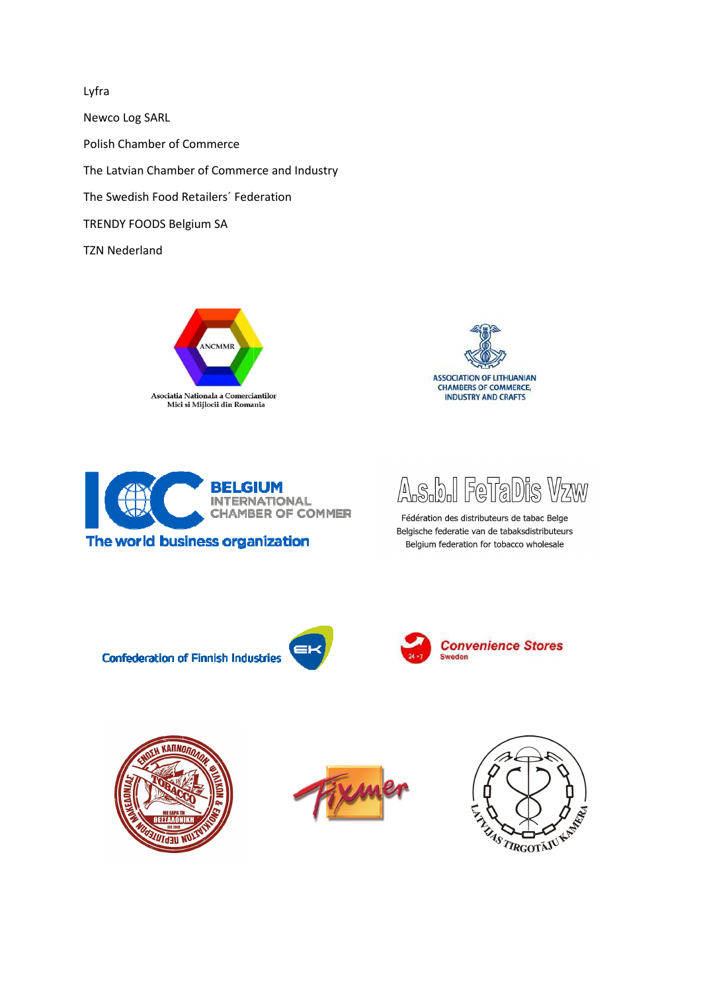Lyfra Newco Log SARL Polish Chamber of Commerce The Latvian Chamber of Commerce and Industry The Swedish Food Retailers' Federation TRENDY FOODS Belgium SA **TZN Nederland** 







The world business organization



Fédération des distributeurs de tabac Belge Belgische federatie van de tabaksdistributeurs Belgium federation for tobacco wholesale

**Confederation of Finnish Industries**